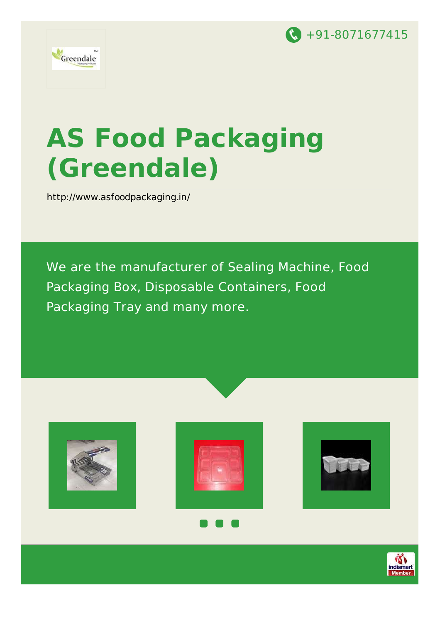



# **AS Food Packaging (Greendale)**

<http://www.asfoodpackaging.in/>

We are the manufacturer of Sealing Machine, Food Packaging Box, Disposable Containers, Food Packaging Tray and many more.







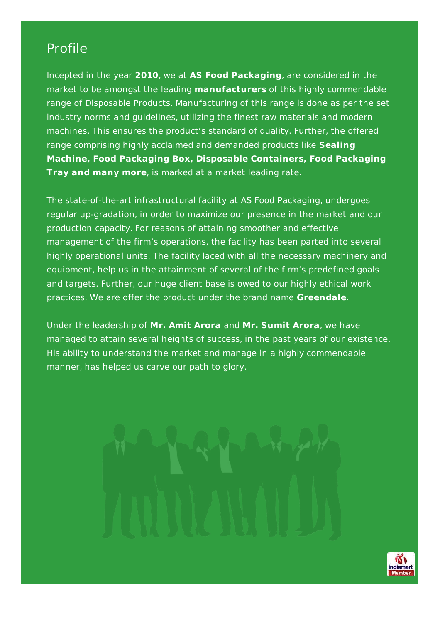### Profile

Incepted in the year **2010**, we at **AS Food Packaging**, are considered in the market to be amongst the leading **manufacturers** of this highly commendable range of Disposable Products. Manufacturing of this range is done as per the set industry norms and guidelines, utilizing the finest raw materials and modern machines. This ensures the product's standard of quality. Further, the offered range comprising highly acclaimed and demanded products like **Sealing Machine, Food Packaging Box, Disposable Containers, Food Packaging Tray and many more**, is marked at a market leading rate.

The state-of-the-art infrastructural facility at AS Food Packaging, undergoes regular up-gradation, in order to maximize our presence in the market and our production capacity. For reasons of attaining smoother and effective management of the firm's operations, the facility has been parted into several highly operational units. The facility laced with all the necessary machinery and equipment, help us in the attainment of several of the firm's predefined goals and targets. Further, our huge client base is owed to our highly ethical work practices. We are offer the product under the brand name **Greendale**.

Under the leadership of **Mr. Amit Arora** and **Mr. Sumit Arora**, we have managed to attain several heights of success, in the past years of our existence. His ability to understand the market and manage in a highly commendable manner, has helped us carve our path to glory.



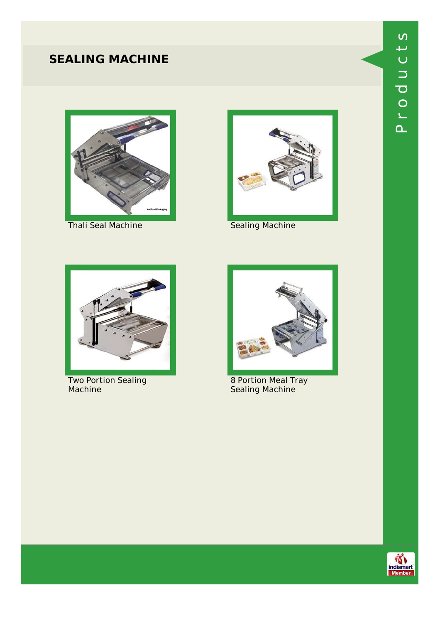# **SEALING MACHINE**



Thali Seal Machine **Sealing Machine** 





Two Portion Sealing Machine



8 Portion Meal Tray Sealing Machine



 $\mathbf{\Omega}_{-}$ 

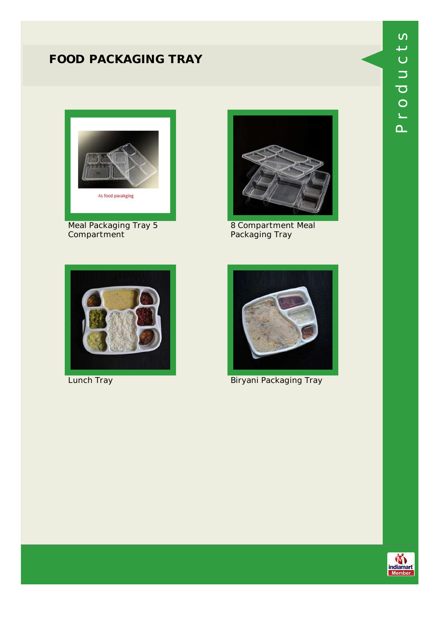# **FOOD PACKAGING TRAY**



Meal Packaging Tray 5 Compartment



8 Compartment Meal Packaging Tray





**Lunch Tray Commission Commission Commission Commission Commission Commission Commission Commission Commission C** 



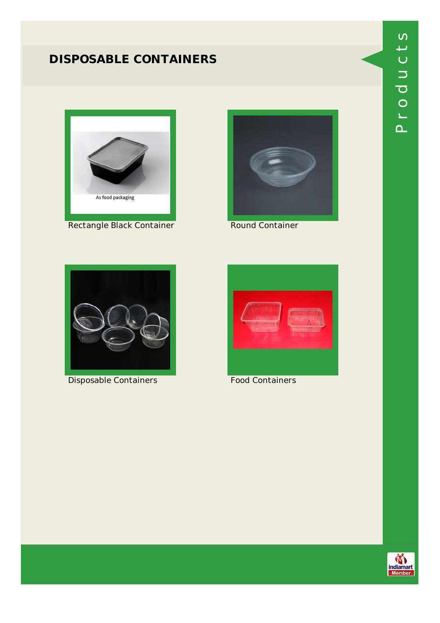# **DISPOSABLE CONTAINERS**



Rectangle Black Container **Round Container** 





Disposable Containers **Food Containers** 





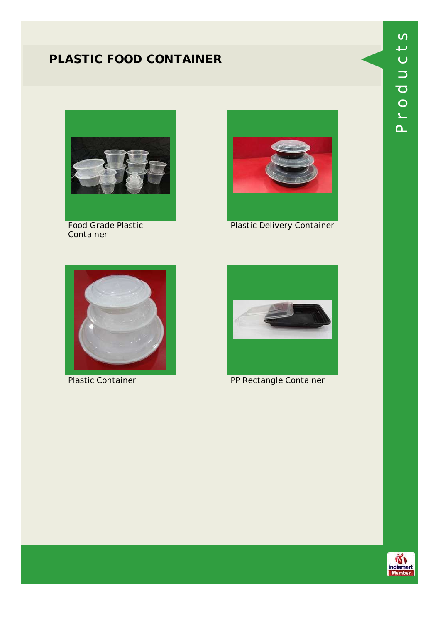### **PLASTIC FOOD CONTAINER**



Food Grade Plastic Container



Plastic Delivery Container





Plastic Container **PP Rectangle Container** 



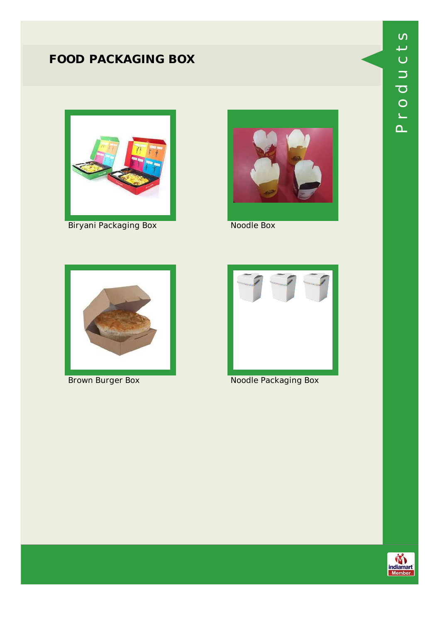# **FOOD PACKAGING BOX**



Biryani Packaging Box Noodle Box







**Brown Burger Box Noodle Packaging Box** 



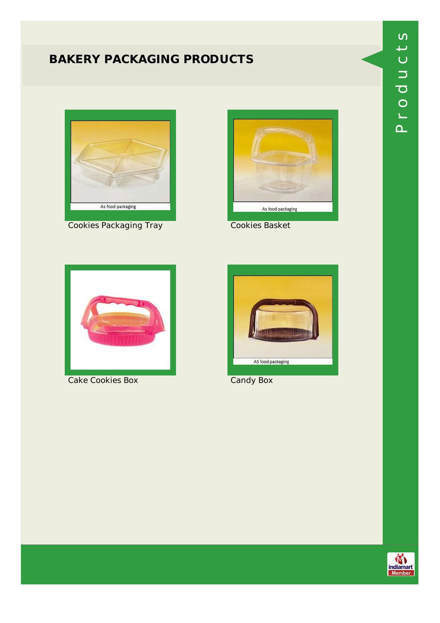## **BAKERY PACKAGING PRODUCTS**



**Cookies Packaging Tray Cookies Basket** 





Cake Cookies Box Candy Box



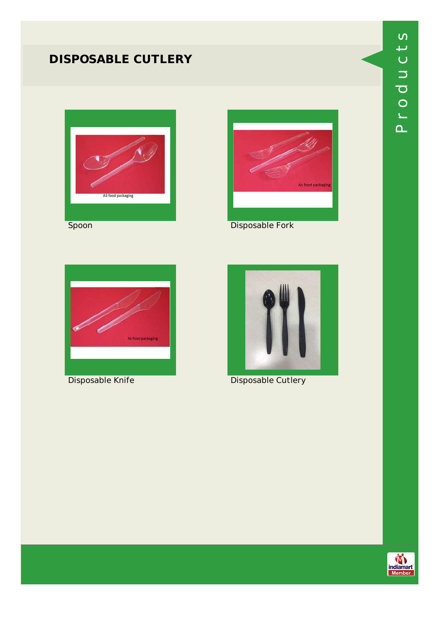### **DISPOSABLE CUTLERY**



As food packagin





Disposable Knife **Disposable Cutlery** 

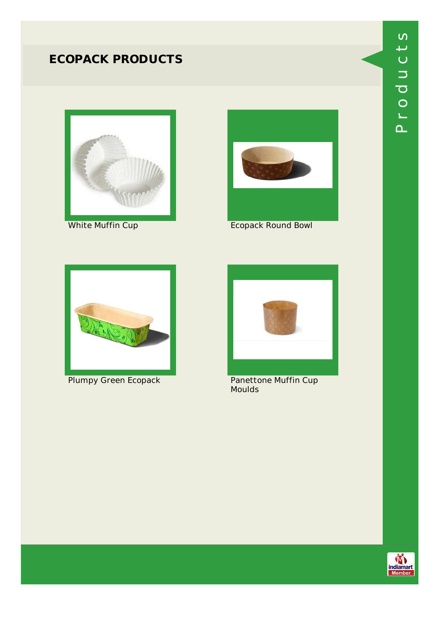### **ECOPACK PRODUCTS**





White Muffin Cup **Example 2018** Ecopack Round Bowl



Plumpy Green Ecopack Panettone Muffin Cup



Moulds

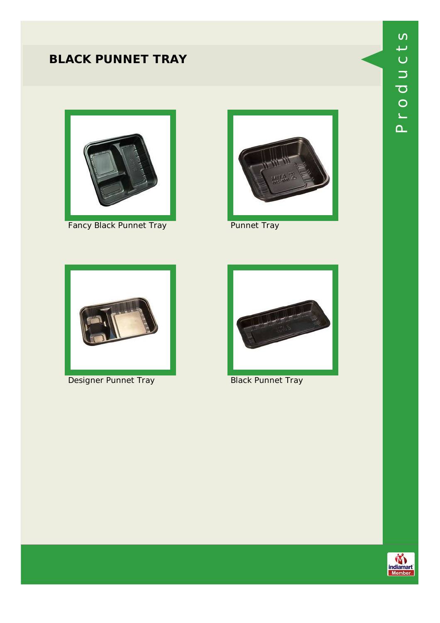### **BLACK PUNNET TRAY**



Fancy Black Punnet Tray **Punnet Tray** 





**Designer Punnet Tray Communist Communist Punnet Tray** 



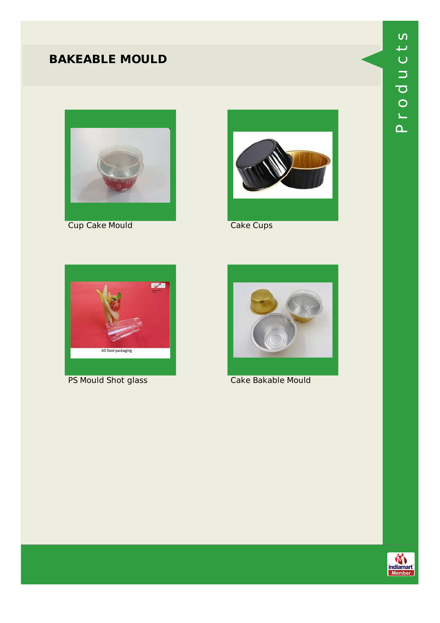### **BAKEABLE MOULD**



**Cup Cake Mould Cake Cups** 





PS Mould Shot glass Cake Bakable Mould





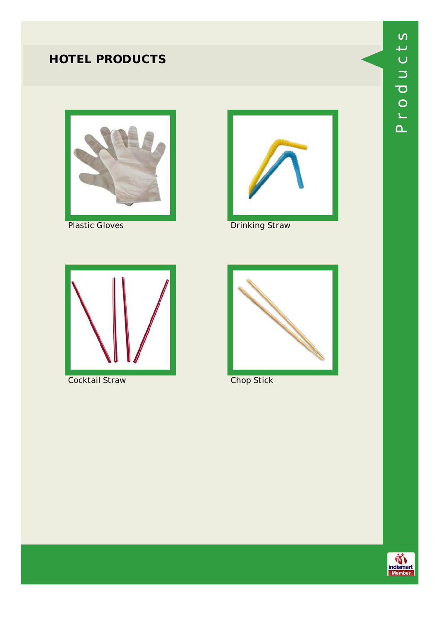# **HOTEL PRODUCTS**







Plastic Gloves **Drinking Straw** 



**Cocktail Straw Chop Stick** 



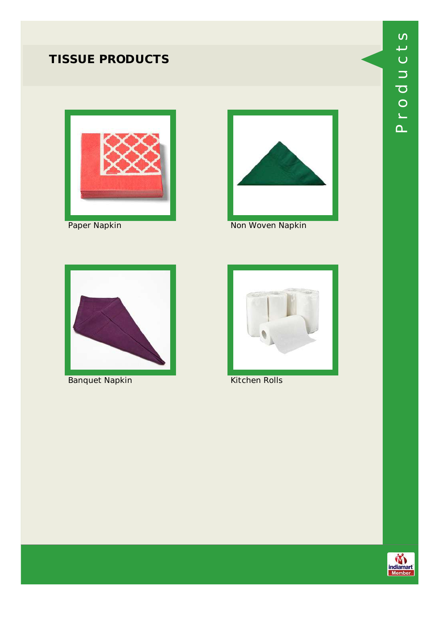# **TISSUE PRODUCTS**







Paper Napkin Non Woven Napkin



Banquet Napkin Kitchen Rolls



#### $\mathbf{\Omega}_{-}$ ے o $\overline{\mathbf{C}}$  $\Box$  $\bm{\cup}$ رب ທ

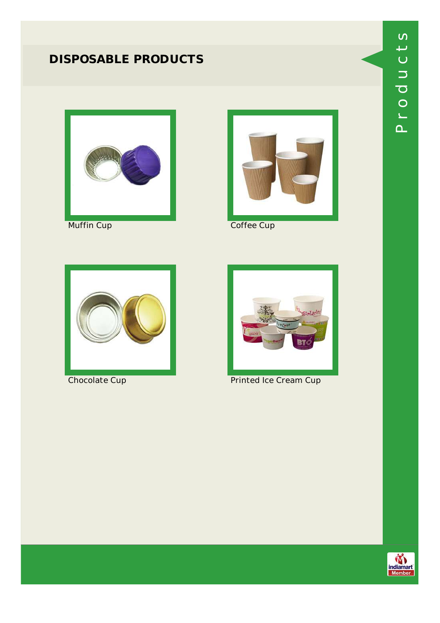# **DISPOSABLE PRODUCTS**







Muffin Cup **Coffee Cup** 





**Chocolate Cup Chocolate Cup** Printed Ice Cream Cup



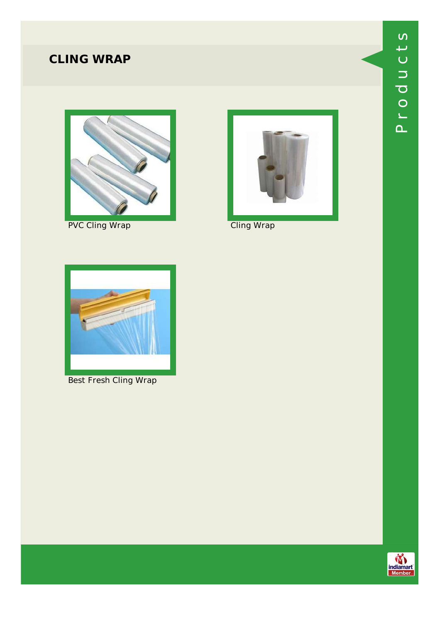# **CLING WRAP**



PVC Cling Wrap Cling Wrap





Best Fresh Cling Wrap

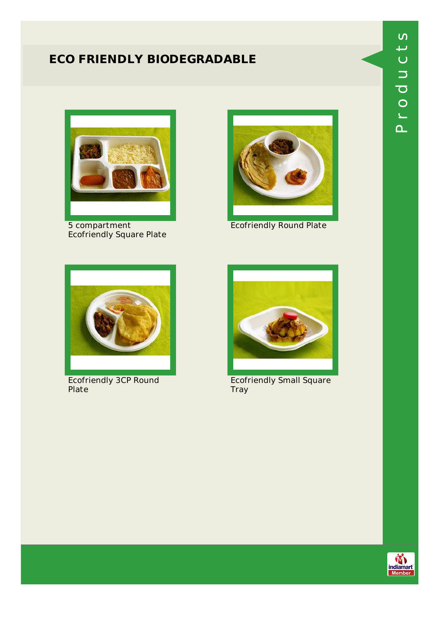### **ECO FRIENDLY BIODEGRADABLE**



5 compartment Ecofriendly Square Plate



Ecofriendly Round Plate



Ecofriendly 3CP Round Plate



Ecofriendly Small Square Tray



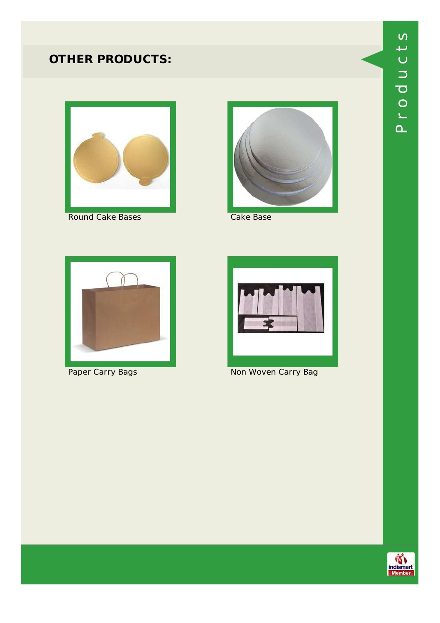

Round Cake Bases **Cake Base** 







Paper Carry Bags Non Woven Carry Bag

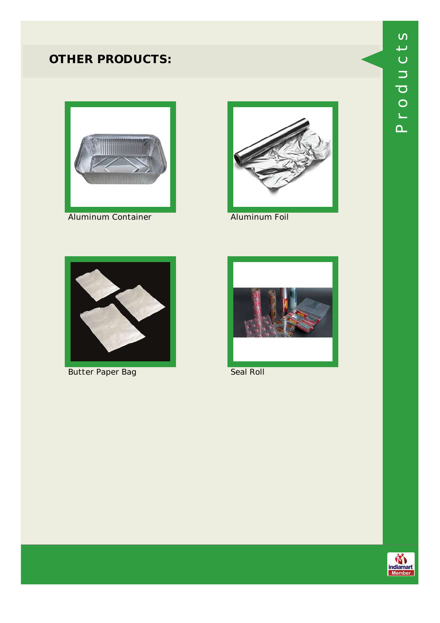

Aluminum Container **Aluminum Foil** 





Butter Paper Bag New York Seal Roll



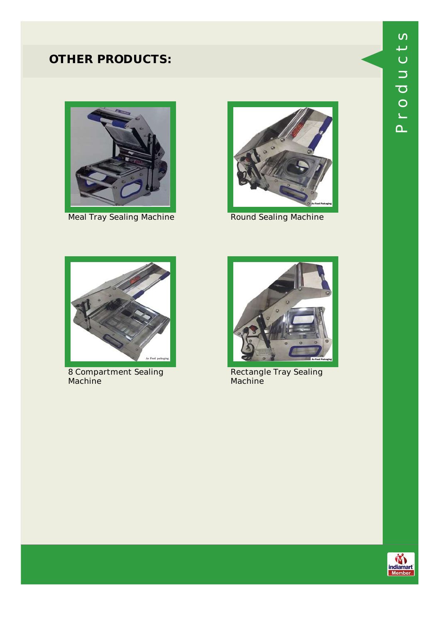

Meal Tray Sealing Machine **Round Sealing Machine** 





8 Compartment Sealing Machine



Rectangle Tray Sealing **Machine** 



 $\mathbf{\Omega}_{-}$ 

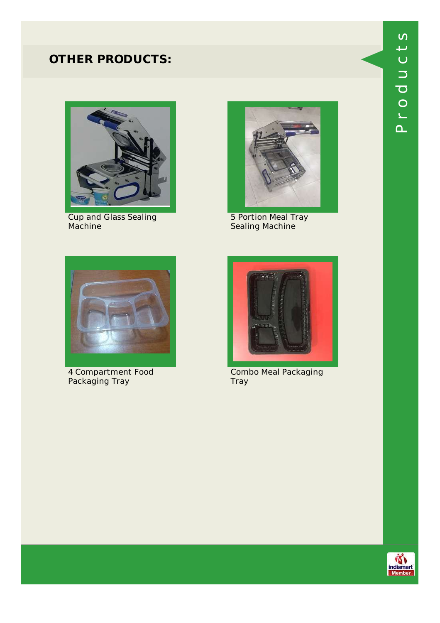

Cup and Glass Sealing Machine



5 Portion Meal Tray Sealing Machine



4 Compartment Food Packaging Tray



Combo Meal Packaging Tray



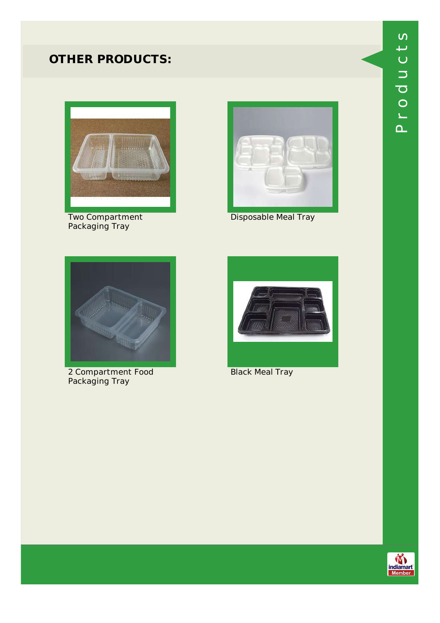

Two Compartment Packaging Tray



Disposable Meal Tray



2 Compartment Food Packaging Tray



Black Meal Tray



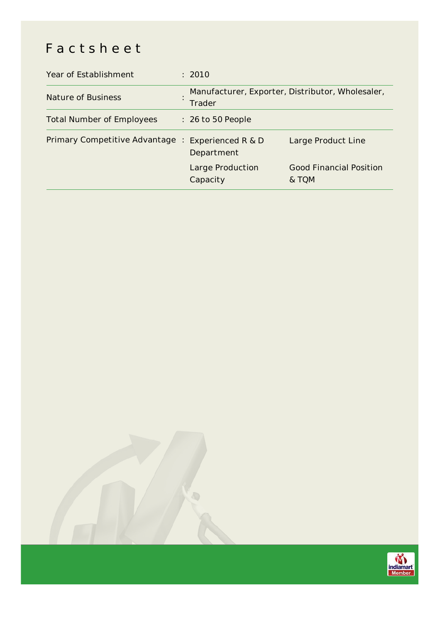# Factsheet

| Year of Establishment            | : 2010                                                            |                                         |
|----------------------------------|-------------------------------------------------------------------|-----------------------------------------|
| <b>Nature of Business</b>        | Manufacturer, Exporter, Distributor, Wholesaler,<br><b>Trader</b> |                                         |
| <b>Total Number of Employees</b> | $: 26$ to 50 People                                               |                                         |
| Primary Competitive Advantage :  | Experienced R & D<br>Department                                   | Large Product Line                      |
|                                  | Large Production<br>Capacity                                      | <b>Good Financial Position</b><br>& TQM |